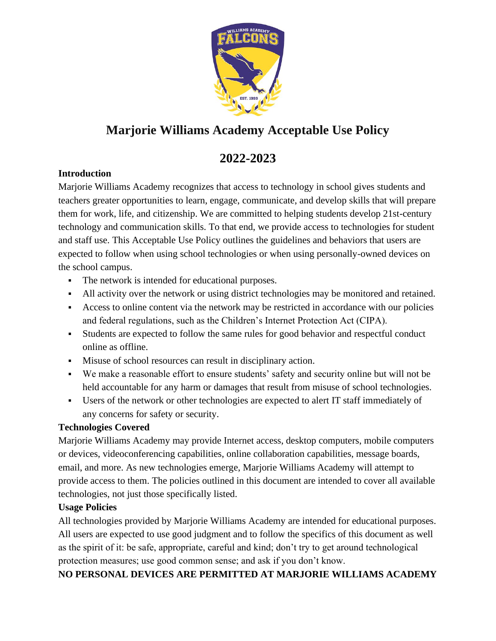

# **Marjorie Williams Academy Acceptable Use Policy**

## **2022-2023**

## **Introduction**

Marjorie Williams Academy recognizes that access to technology in school gives students and teachers greater opportunities to learn, engage, communicate, and develop skills that will prepare them for work, life, and citizenship. We are committed to helping students develop 21st-century technology and communication skills. To that end, we provide access to technologies for student and staff use. This Acceptable Use Policy outlines the guidelines and behaviors that users are expected to follow when using school technologies or when using personally-owned devices on the school campus.

- The network is intended for educational purposes.
- All activity over the network or using district technologies may be monitored and retained.
- Access to online content via the network may be restricted in accordance with our policies and federal regulations, such as the Children's Internet Protection Act (CIPA).
- Students are expected to follow the same rules for good behavior and respectful conduct online as offline.
- Misuse of school resources can result in disciplinary action.
- We make a reasonable effort to ensure students' safety and security online but will not be held accountable for any harm or damages that result from misuse of school technologies.
- Users of the network or other technologies are expected to alert IT staff immediately of any concerns for safety or security.

## **Technologies Covered**

Marjorie Williams Academy may provide Internet access, desktop computers, mobile computers or devices, videoconferencing capabilities, online collaboration capabilities, message boards, email, and more. As new technologies emerge, Marjorie Williams Academy will attempt to provide access to them. The policies outlined in this document are intended to cover all available technologies, not just those specifically listed.

## **Usage Policies**

All technologies provided by Marjorie Williams Academy are intended for educational purposes. All users are expected to use good judgment and to follow the specifics of this document as well as the spirit of it: be safe, appropriate, careful and kind; don't try to get around technological protection measures; use good common sense; and ask if you don't know.

**NO PERSONAL DEVICES ARE PERMITTED AT MARJORIE WILLIAMS ACADEMY**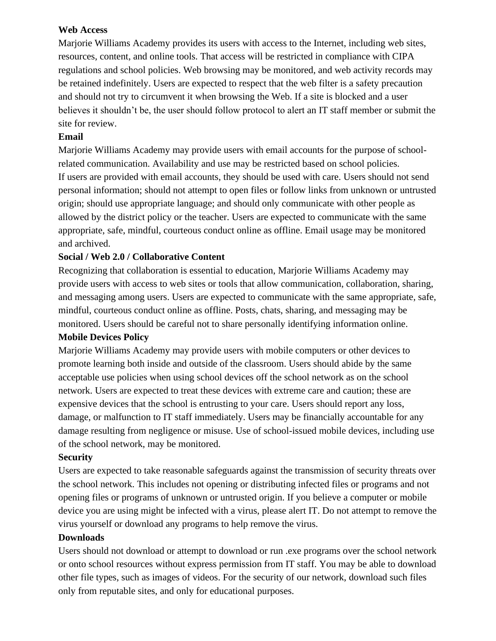#### **Web Access**

Marjorie Williams Academy provides its users with access to the Internet, including web sites, resources, content, and online tools. That access will be restricted in compliance with CIPA regulations and school policies. Web browsing may be monitored, and web activity records may be retained indefinitely. Users are expected to respect that the web filter is a safety precaution and should not try to circumvent it when browsing the Web. If a site is blocked and a user believes it shouldn't be, the user should follow protocol to alert an IT staff member or submit the site for review.

### **Email**

Marjorie Williams Academy may provide users with email accounts for the purpose of schoolrelated communication. Availability and use may be restricted based on school policies. If users are provided with email accounts, they should be used with care. Users should not send personal information; should not attempt to open files or follow links from unknown or untrusted origin; should use appropriate language; and should only communicate with other people as allowed by the district policy or the teacher. Users are expected to communicate with the same appropriate, safe, mindful, courteous conduct online as offline. Email usage may be monitored and archived.

#### **Social / Web 2.0 / Collaborative Content**

Recognizing that collaboration is essential to education, Marjorie Williams Academy may provide users with access to web sites or tools that allow communication, collaboration, sharing, and messaging among users. Users are expected to communicate with the same appropriate, safe, mindful, courteous conduct online as offline. Posts, chats, sharing, and messaging may be monitored. Users should be careful not to share personally identifying information online.

#### **Mobile Devices Policy**

Marjorie Williams Academy may provide users with mobile computers or other devices to promote learning both inside and outside of the classroom. Users should abide by the same acceptable use policies when using school devices off the school network as on the school network. Users are expected to treat these devices with extreme care and caution; these are expensive devices that the school is entrusting to your care. Users should report any loss, damage, or malfunction to IT staff immediately. Users may be financially accountable for any damage resulting from negligence or misuse. Use of school-issued mobile devices, including use of the school network, may be monitored.

#### **Security**

Users are expected to take reasonable safeguards against the transmission of security threats over the school network. This includes not opening or distributing infected files or programs and not opening files or programs of unknown or untrusted origin. If you believe a computer or mobile device you are using might be infected with a virus, please alert IT. Do not attempt to remove the virus yourself or download any programs to help remove the virus.

#### **Downloads**

Users should not download or attempt to download or run .exe programs over the school network or onto school resources without express permission from IT staff. You may be able to download other file types, such as images of videos. For the security of our network, download such files only from reputable sites, and only for educational purposes.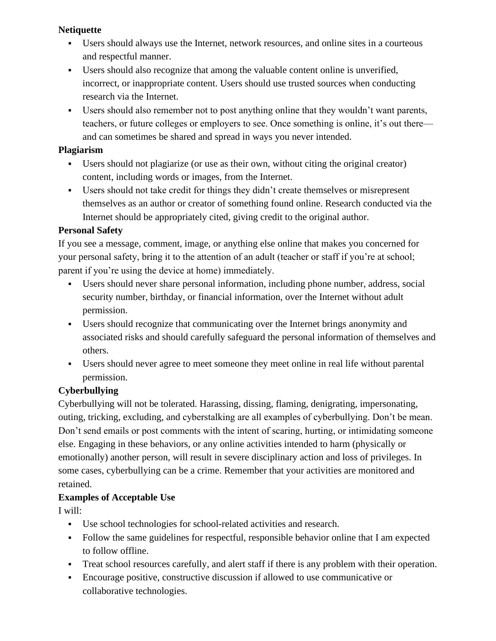#### **Netiquette**

- Users should always use the Internet, network resources, and online sites in a courteous and respectful manner.
- Users should also recognize that among the valuable content online is unverified, incorrect, or inappropriate content. Users should use trusted sources when conducting research via the Internet.
- Users should also remember not to post anything online that they wouldn't want parents, teachers, or future colleges or employers to see. Once something is online, it's out there and can sometimes be shared and spread in ways you never intended.

#### **Plagiarism**

- Users should not plagiarize (or use as their own, without citing the original creator) content, including words or images, from the Internet.
- Users should not take credit for things they didn't create themselves or misrepresent themselves as an author or creator of something found online. Research conducted via the Internet should be appropriately cited, giving credit to the original author.

## **Personal Safety**

If you see a message, comment, image, or anything else online that makes you concerned for your personal safety, bring it to the attention of an adult (teacher or staff if you're at school; parent if you're using the device at home) immediately.

- Users should never share personal information, including phone number, address, social security number, birthday, or financial information, over the Internet without adult permission.
- Users should recognize that communicating over the Internet brings anonymity and associated risks and should carefully safeguard the personal information of themselves and others.
- Users should never agree to meet someone they meet online in real life without parental permission.

## **Cyberbullying**

Cyberbullying will not be tolerated. Harassing, dissing, flaming, denigrating, impersonating, outing, tricking, excluding, and cyberstalking are all examples of cyberbullying. Don't be mean. Don't send emails or post comments with the intent of scaring, hurting, or intimidating someone else. Engaging in these behaviors, or any online activities intended to harm (physically or emotionally) another person, will result in severe disciplinary action and loss of privileges. In some cases, cyberbullying can be a crime. Remember that your activities are monitored and retained.

## **Examples of Acceptable Use**

I will:

- Use school technologies for school-related activities and research.
- Follow the same guidelines for respectful, responsible behavior online that I am expected to follow offline.
- Treat school resources carefully, and alert staff if there is any problem with their operation.
- Encourage positive, constructive discussion if allowed to use communicative or collaborative technologies.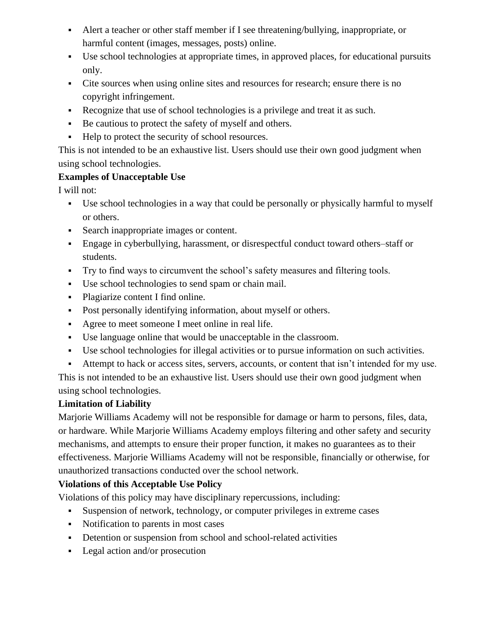- Alert a teacher or other staff member if I see threatening/bullying, inappropriate, or harmful content (images, messages, posts) online.
- Use school technologies at appropriate times, in approved places, for educational pursuits only.
- Cite sources when using online sites and resources for research; ensure there is no copyright infringement.
- Recognize that use of school technologies is a privilege and treat it as such.
- Be cautious to protect the safety of myself and others.
- Help to protect the security of school resources.

This is not intended to be an exhaustive list. Users should use their own good judgment when using school technologies.

## **Examples of Unacceptable Use**

I will not:

- Use school technologies in a way that could be personally or physically harmful to myself or others.
- Search inappropriate images or content.
- Engage in cyberbullying, harassment, or disrespectful conduct toward others–staff or students.
- Try to find ways to circumvent the school's safety measures and filtering tools.
- Use school technologies to send spam or chain mail.
- Plagiarize content I find online.
- Post personally identifying information, about myself or others.
- Agree to meet someone I meet online in real life.
- Use language online that would be unacceptable in the classroom.
- Use school technologies for illegal activities or to pursue information on such activities.
- Attempt to hack or access sites, servers, accounts, or content that isn't intended for my use.

This is not intended to be an exhaustive list. Users should use their own good judgment when using school technologies.

## **Limitation of Liability**

Marjorie Williams Academy will not be responsible for damage or harm to persons, files, data, or hardware. While Marjorie Williams Academy employs filtering and other safety and security mechanisms, and attempts to ensure their proper function, it makes no guarantees as to their effectiveness. Marjorie Williams Academy will not be responsible, financially or otherwise, for unauthorized transactions conducted over the school network.

## **Violations of this Acceptable Use Policy**

Violations of this policy may have disciplinary repercussions, including:

- Suspension of network, technology, or computer privileges in extreme cases
- Notification to parents in most cases
- **•** Detention or suspension from school and school-related activities
- Legal action and/or prosecution